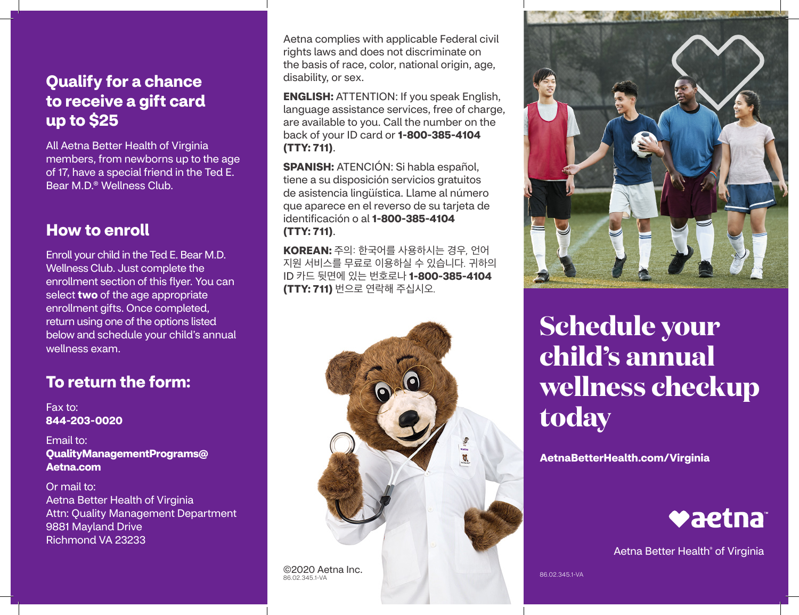# **Qualify for a chance to receive a gift card up to \$25**

All Aetna Better Health of Virginia members, from newborns up to the age of 17, have a special friend in the Ted E. Bear M.D.® Wellness Club.

#### **How to enroll**

Enroll your child in the Ted E. Bear M.D. Wellness Club. Just complete the enrollment section of this flyer. You can select **two** of the age appropriate enrollment gifts. Once completed, return using one of the options listed below and schedule your child's annual wellness exam.

## **To return the form:**

Fax to: **844-203-0020** 

Email to: **[QualityManagementPrograms@](mailto:QualityManagementPrograms@Aetna.com)  Aetna.com** 

Or mail to: Aetna Better Health of Virginia Attn: Quality Management Department 9881 Mayland Drive Richmond VA 23233

Aetna complies with applicable Federal civil rights laws and does not discriminate on the basis of race, color, national origin, age, disability, or sex.

**ENGLISH:** ATTENTION: If you speak English, language assistance services, free of charge, are available to you. Call the number on the back of your ID card or **1-800-385-4104 (TTY: 711)**.

**SPANISH:** ATENCIÓN: Si habla español, tiene a su disposición servicios gratuitos de asistencia lingüística. Llame al número que aparece en el reverso de su tarjeta de identificación o al **1-800-385-4104 (TTY: 711)**.

**KOREAN:** 주의: 한국어를 사용하시는 경우, 언어 지원 서비스를 무료로 이용하실 수 있습니다. 귀하의 ID 카드 뒷면에 있는 번호로나 **1-800-385-4104 (TTY: 711)** 번으로 연락해 주십시오.





# **Schedule your child's annual wellness checkup today**

**[AetnaBetterHealth.com/Virginia](http://AetnaBetterHealth.com/Virginia)** 



Aetna Better Health® of Virginia

86.02.345.1-VA